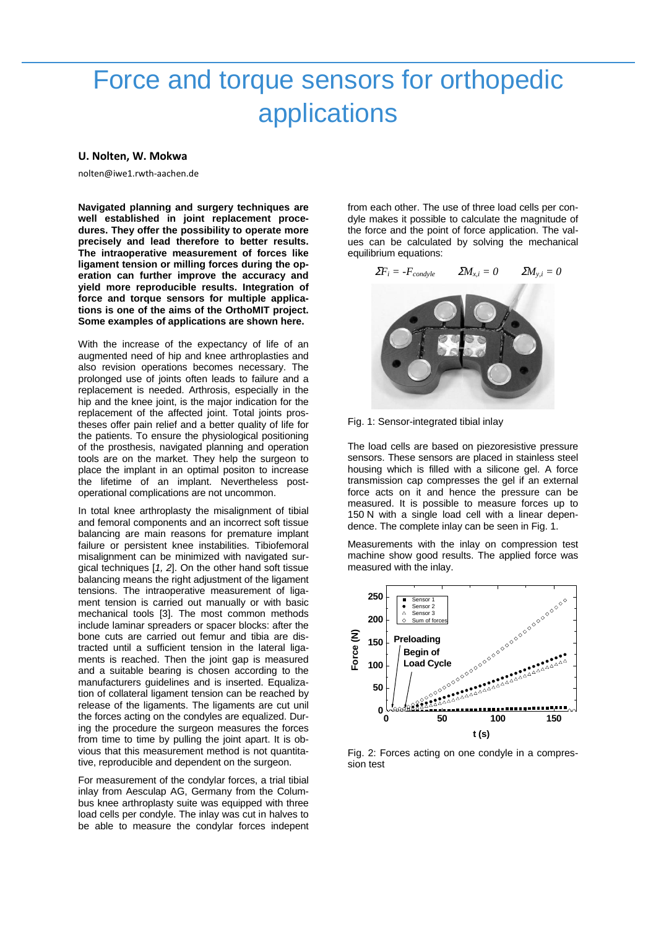## Force and torque sensors for orthopedic applications

## U. Nolten, W. Mokwa

nolten@iwe1.rwth-aachen.de

**Navigated planning and surgery techniques are well established in joint replacement procedures. They offer the possibility to operate more precisely and lead therefore to better results. The intraoperative measurement of forces like ligament tension or milling forces during the operation can further improve the accuracy and yield more reproducible results. Integration of force and torque sensors for multiple applications is one of the aims of the OrthoMIT project. Some examples of applications are shown here.** 

With the increase of the expectancy of life of an augmented need of hip and knee arthroplasties and also revision operations becomes necessary. The prolonged use of joints often leads to failure and a replacement is needed. Arthrosis, especially in the hip and the knee joint, is the major indication for the replacement of the affected joint. Total joints prostheses offer pain relief and a better quality of life for the patients. To ensure the physiological positioning of the prosthesis, navigated planning and operation tools are on the market. They help the surgeon to place the implant in an optimal positon to increase the lifetime of an implant. Nevertheless postoperational complications are not uncommon.

In total knee arthroplasty the misalignment of tibial and femoral components and an incorrect soft tissue balancing are main reasons for premature implant failure or persistent knee instabilities. Tibiofemoral misalignment can be minimized with navigated surgical techniques [1, 2]. On the other hand soft tissue balancing means the right adjustment of the ligament tensions. The intraoperative measurement of ligament tension is carried out manually or with basic mechanical tools [3]. The most common methods include laminar spreaders or spacer blocks: after the bone cuts are carried out femur and tibia are distracted until a sufficient tension in the lateral ligaments is reached. Then the joint gap is measured and a suitable bearing is chosen according to the manufacturers guidelines and is inserted. Equalization of collateral ligament tension can be reached by release of the ligaments. The ligaments are cut unil the forces acting on the condyles are equalized. During the procedure the surgeon measures the forces from time to time by pulling the joint apart. It is obvious that this measurement method is not quantitative, reproducible and dependent on the surgeon.

For measurement of the condylar forces, a trial tibial inlay from Aesculap AG, Germany from the Columbus knee arthroplasty suite was equipped with three load cells per condyle. The inlay was cut in halves to be able to measure the condylar forces indepent from each other. The use of three load cells per condyle makes it possible to calculate the magnitude of the force and the point of force application. The values can be calculated by solving the mechanical equilibrium equations:



Fig. 1: Sensor-integrated tibial inlay

The load cells are based on piezoresistive pressure sensors. These sensors are placed in stainless steel housing which is filled with a silicone gel. A force transmission cap compresses the gel if an external force acts on it and hence the pressure can be measured. It is possible to measure forces up to 150 N with a single load cell with a linear dependence. The complete inlay can be seen in Fig. 1.

Measurements with the inlay on compression test machine show good results. The applied force was measured with the inlay.



Fig. 2: Forces acting on one condyle in a compression test